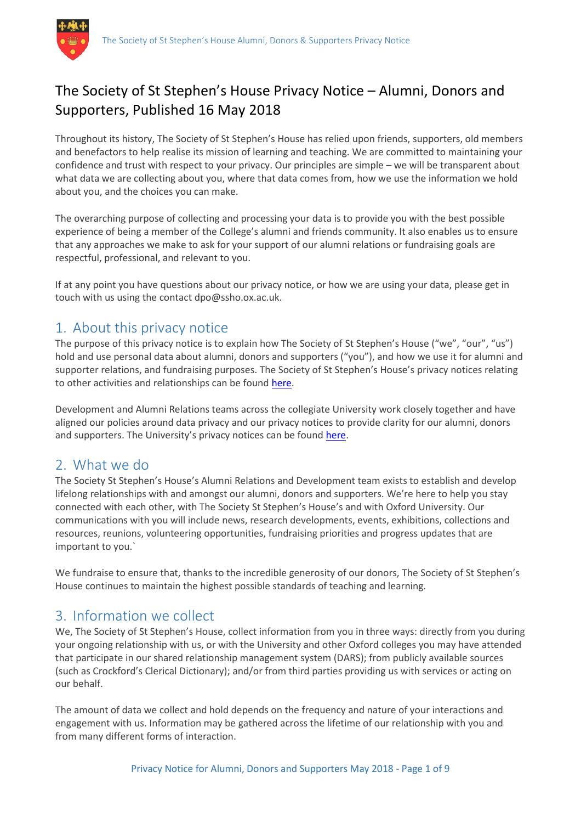# The Society of St Stephen's House Privacy Notice – Alumni, Donors and Supporters, Published 16 May 2018

Throughout its history, The Society of St Stephen's House has relied upon friends, supporters, old members and benefactors to help realise its mission of learning and teaching. We are committed to maintaining your confidence and trust with respect to your privacy. Our principles are simple – we will be transparent about what data we are collecting about you, where that data comes from, how we use the information we hold about you, and the choices you can make.

The overarching purpose of collecting and processing your data is to provide you with the best possible experience of being a member of the College's alumni and friends community. It also enables us to ensure that any approaches we make to ask for your support of our alumni relations or fundraising goals are respectful, professional, and relevant to you.

If at any point you have questions about our privacy notice, or how we are using your data, please get in touch with us using the contact dpo@ssho.ox.ac.uk.

## 1. About this privacy notice

The purpose of this privacy notice is to explain how The Society of St Stephen's House ("we", "our", "us") hold and use personal data about alumni, donors and supporters ("you"), and how we use it for alumni and supporter relations, and fundraising purposes. The Society of St Stephen's House's privacy notices relating to other activities and relationships can be found here.

Development and Alumni Relations teams across the collegiate University work closely together and have aligned our policies around data privacy and our privacy notices to provide clarity for our alumni, donors and supporters. The University's privacy notices can be found here.

### 2. What we do

The Society St Stephen's House's Alumni Relations and Development team exists to establish and develop lifelong relationships with and amongst our alumni, donors and supporters. We're here to help you stay connected with each other, with The Society St Stephen's House's and with Oxford University. Our communications with you will include news, research developments, events, exhibitions, collections and resources, reunions, volunteering opportunities, fundraising priorities and progress updates that are important to you.`

We fundraise to ensure that, thanks to the incredible generosity of our donors, The Society of St Stephen's House continues to maintain the highest possible standards of teaching and learning.

## 3. Information we collect

We, The Society of St Stephen's House, collect information from you in three ways: directly from you during your ongoing relationship with us, or with the University and other Oxford colleges you may have attended that participate in our shared relationship management system (DARS); from publicly available sources (such as Crockford's Clerical Dictionary); and/or from third parties providing us with services or acting on our behalf.

The amount of data we collect and hold depends on the frequency and nature of your interactions and engagement with us. Information may be gathered across the lifetime of our relationship with you and from many different forms of interaction.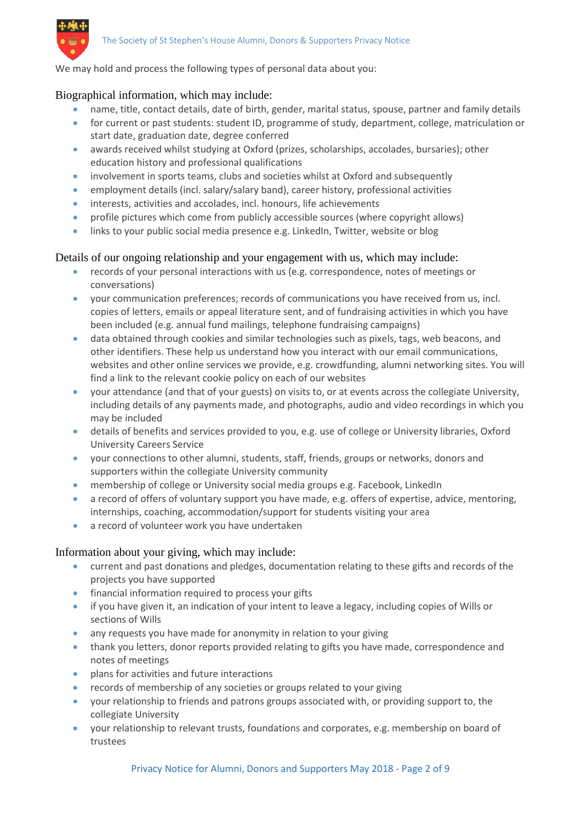

We may hold and process the following types of personal data about you:

#### Biographical information, which may include:

- name, title, contact details, date of birth, gender, marital status, spouse, partner and family details
- for current or past students: student ID, programme of study, department, college, matriculation or start date, graduation date, degree conferred
- awards received whilst studying at Oxford (prizes, scholarships, accolades, bursaries); other education history and professional qualifications
- involvement in sports teams, clubs and societies whilst at Oxford and subsequently
- employment details (incl. salary/salary band), career history, professional activities
- interests, activities and accolades, incl. honours, life achievements
- profile pictures which come from publicly accessible sources (where copyright allows)
- links to your public social media presence e.g. LinkedIn, Twitter, website or blog

#### Details of our ongoing relationship and your engagement with us, which may include:

- records of your personal interactions with us (e.g. correspondence, notes of meetings or conversations)
- your communication preferences; records of communications you have received from us, incl. copies of letters, emails or appeal literature sent, and of fundraising activities in which you have been included (e.g. annual fund mailings, telephone fundraising campaigns)
- data obtained through cookies and similar technologies such as pixels, tags, web beacons, and other identifiers. These help us understand how you interact with our email communications, websites and other online services we provide, e.g. crowdfunding, alumni networking sites. You will find a link to the relevant cookie policy on each of our websites
- your attendance (and that of your guests) on visits to, or at events across the collegiate University, including details of any payments made, and photographs, audio and video recordings in which you may be included
- details of benefits and services provided to you, e.g. use of college or University libraries, Oxford University Careers Service
- your connections to other alumni, students, staff, friends, groups or networks, donors and supporters within the collegiate University community
- membership of college or University social media groups e.g. Facebook, LinkedIn
- a record of offers of voluntary support you have made, e.g. offers of expertise, advice, mentoring, internships, coaching, accommodation/support for students visiting your area
- a record of volunteer work you have undertaken

#### Information about your giving, which may include:

- current and past donations and pledges, documentation relating to these gifts and records of the projects you have supported
- financial information required to process your gifts
- if you have given it, an indication of your intent to leave a legacy, including copies of Wills or sections of Wills
- any requests you have made for anonymity in relation to your giving
- thank you letters, donor reports provided relating to gifts you have made, correspondence and notes of meetings
- **•** plans for activities and future interactions
- records of membership of any societies or groups related to your giving
- your relationship to friends and patrons groups associated with, or providing support to, the collegiate University
- your relationship to relevant trusts, foundations and corporates, e.g. membership on board of trustees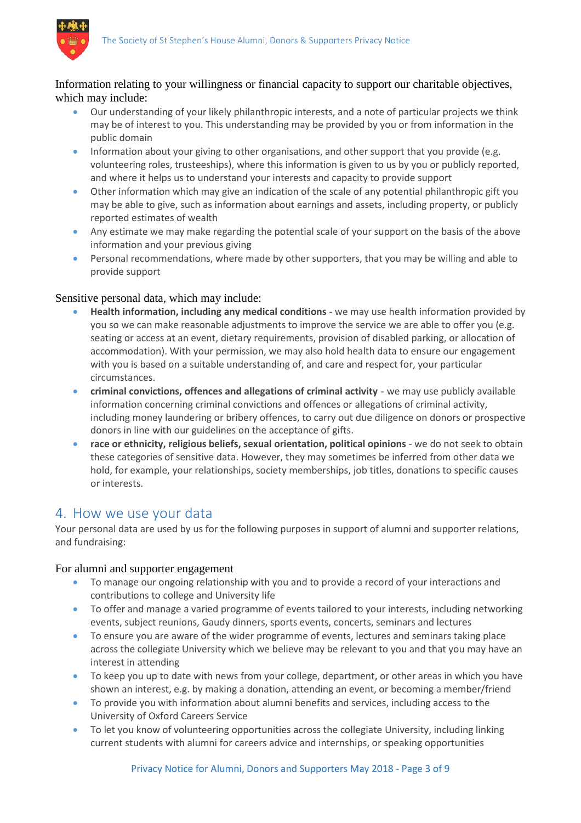

#### Information relating to your willingness or financial capacity to support our charitable objectives, which may include:

- Our understanding of your likely philanthropic interests, and a note of particular projects we think may be of interest to you. This understanding may be provided by you or from information in the public domain
- **Information about your giving to other organisations, and other support that you provide (e.g.**) volunteering roles, trusteeships), where this information is given to us by you or publicly reported, and where it helps us to understand your interests and capacity to provide support
- Other information which may give an indication of the scale of any potential philanthropic gift you may be able to give, such as information about earnings and assets, including property, or publicly reported estimates of wealth
- Any estimate we may make regarding the potential scale of your support on the basis of the above information and your previous giving
- **•** Personal recommendations, where made by other supporters, that you may be willing and able to provide support

#### Sensitive personal data, which may include:

- **Health information, including any medical conditions** we may use health information provided by you so we can make reasonable adjustments to improve the service we are able to offer you (e.g. seating or access at an event, dietary requirements, provision of disabled parking, or allocation of accommodation). With your permission, we may also hold health data to ensure our engagement with you is based on a suitable understanding of, and care and respect for, your particular circumstances.
- **criminal convictions, offences and allegations of criminal activity -** we may use publicly available information concerning criminal convictions and offences or allegations of criminal activity, including money laundering or bribery offences, to carry out due diligence on donors or prospective donors in line with our guidelines on the acceptance of gifts.
- **race or ethnicity, religious beliefs, sexual orientation, political opinions** we do not seek to obtain these categories of sensitive data. However, they may sometimes be inferred from other data we hold, for example, your relationships, society memberships, job titles, donations to specific causes or interests.

### 4. How we use your data

Your personal data are used by us for the following purposes in support of alumni and supporter relations, and fundraising:

#### For alumni and supporter engagement

- To manage our ongoing relationship with you and to provide a record of your interactions and contributions to college and University life
- To offer and manage a varied programme of events tailored to your interests, including networking events, subject reunions, Gaudy dinners, sports events, concerts, seminars and lectures
- To ensure you are aware of the wider programme of events, lectures and seminars taking place across the collegiate University which we believe may be relevant to you and that you may have an interest in attending
- To keep you up to date with news from your college, department, or other areas in which you have shown an interest, e.g. by making a donation, attending an event, or becoming a member/friend
- To provide you with information about alumni benefits and services, including access to the University of Oxford Careers Service
- To let you know of volunteering opportunities across the collegiate University, including linking current students with alumni for careers advice and internships, or speaking opportunities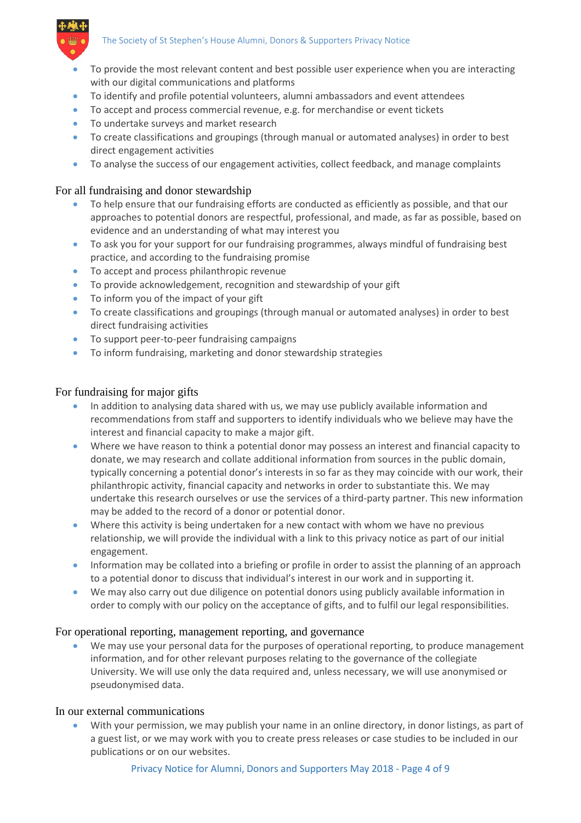

- To provide the most relevant content and best possible user experience when you are interacting with our digital communications and platforms
- To identify and profile potential volunteers, alumni ambassadors and event attendees
- To accept and process commercial revenue, e.g. for merchandise or event tickets
- To undertake surveys and market research
- To create classifications and groupings (through manual or automated analyses) in order to best direct engagement activities
- To analyse the success of our engagement activities, collect feedback, and manage complaints

#### For all fundraising and donor stewardship

- To help ensure that our fundraising efforts are conducted as efficiently as possible, and that our approaches to potential donors are respectful, professional, and made, as far as possible, based on evidence and an understanding of what may interest you
- To ask you for your support for our fundraising programmes, always mindful of fundraising best practice, and according to the fundraising promise
- To accept and process philanthropic revenue
- To provide acknowledgement, recognition and stewardship of your gift
- To inform you of the impact of your gift
- To create classifications and groupings (through manual or automated analyses) in order to best direct fundraising activities
- To support peer-to-peer fundraising campaigns
- To inform fundraising, marketing and donor stewardship strategies

#### For fundraising for major gifts

- In addition to analysing data shared with us, we may use publicly available information and recommendations from staff and supporters to identify individuals who we believe may have the interest and financial capacity to make a major gift.
- Where we have reason to think a potential donor may possess an interest and financial capacity to donate, we may research and collate additional information from sources in the public domain, typically concerning a potential donor's interests in so far as they may coincide with our work, their philanthropic activity, financial capacity and networks in order to substantiate this. We may undertake this research ourselves or use the services of a third-party partner. This new information may be added to the record of a donor or potential donor.
- Where this activity is being undertaken for a new contact with whom we have no previous relationship, we will provide the individual with a link to this privacy notice as part of our initial engagement.
- Information may be collated into a briefing or profile in order to assist the planning of an approach to a potential donor to discuss that individual's interest in our work and in supporting it.
- We may also carry out due diligence on potential donors using publicly available information in order to comply with our policy on the acceptance of gifts, and to fulfil our legal responsibilities.

#### For operational reporting, management reporting, and governance

 We may use your personal data for the purposes of operational reporting, to produce management information, and for other relevant purposes relating to the governance of the collegiate University. We will use only the data required and, unless necessary, we will use anonymised or pseudonymised data.

#### In our external communications

With your permission, we may publish your name in an online directory, in donor listings, as part of a guest list, or we may work with you to create press releases or case studies to be included in our publications or on our websites.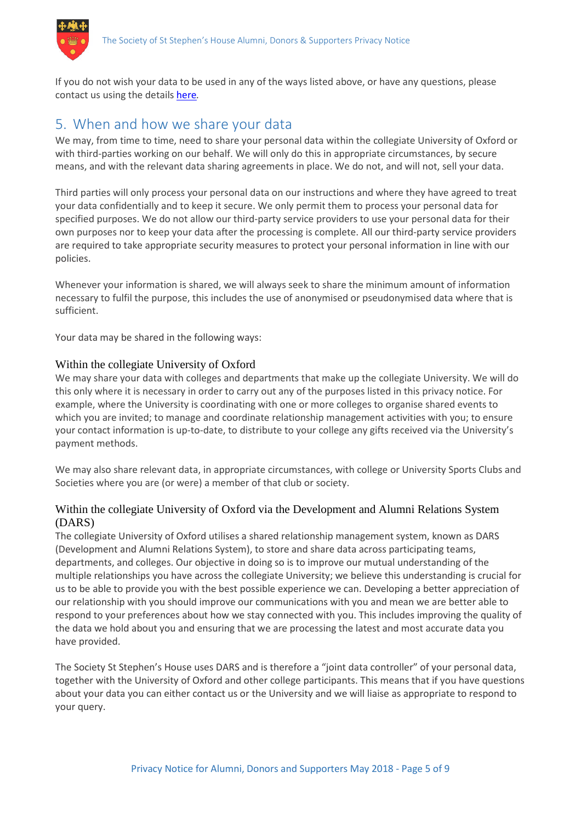

If you do not wish your data to be used in any of the ways listed above, or have any questions, please contact us using the details here*.*

### 5. When and how we share your data

We may, from time to time, need to share your personal data within the collegiate University of Oxford or with third-parties working on our behalf. We will only do this in appropriate circumstances, by secure means, and with the relevant data sharing agreements in place. We do not, and will not, sell your data.

Third parties will only process your personal data on our instructions and where they have agreed to treat your data confidentially and to keep it secure. We only permit them to process your personal data for specified purposes. We do not allow our third-party service providers to use your personal data for their own purposes nor to keep your data after the processing is complete. All our third-party service providers are required to take appropriate security measures to protect your personal information in line with our policies.

Whenever your information is shared, we will always seek to share the minimum amount of information necessary to fulfil the purpose, this includes the use of anonymised or pseudonymised data where that is sufficient.

Your data may be shared in the following ways:

#### Within the collegiate University of Oxford

We may share your data with colleges and departments that make up the collegiate University. We will do this only where it is necessary in order to carry out any of the purposes listed in this privacy notice. For example, where the University is coordinating with one or more colleges to organise shared events to which you are invited; to manage and coordinate relationship management activities with you; to ensure your contact information is up-to-date, to distribute to your college any gifts received via the University's payment methods.

We may also share relevant data, in appropriate circumstances, with college or University Sports Clubs and Societies where you are (or were) a member of that club or society.

#### Within the collegiate University of Oxford via the Development and Alumni Relations System (DARS)

The collegiate University of Oxford utilises a shared relationship management system, known as DARS (Development and Alumni Relations System), to store and share data across participating teams, departments, and colleges. Our objective in doing so is to improve our mutual understanding of the multiple relationships you have across the collegiate University; we believe this understanding is crucial for us to be able to provide you with the best possible experience we can. Developing a better appreciation of our relationship with you should improve our communications with you and mean we are better able to respond to your preferences about how we stay connected with you. This includes improving the quality of the data we hold about you and ensuring that we are processing the latest and most accurate data you have provided.

The Society St Stephen's House uses DARS and is therefore a "joint data controller" of your personal data, together with the University of Oxford and other college participants. This means that if you have questions about your data you can either contact us or the University and we will liaise as appropriate to respond to your query.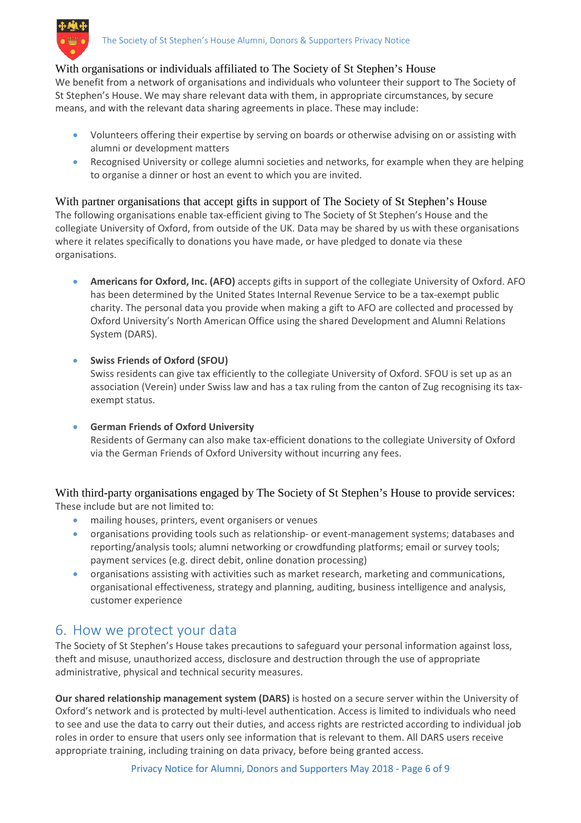#### With organisations or individuals affiliated to The Society of St Stephen's House

We benefit from a network of organisations and individuals who volunteer their support to The Society of St Stephen's House. We may share relevant data with them, in appropriate circumstances, by secure means, and with the relevant data sharing agreements in place. These may include:

- Volunteers offering their expertise by serving on boards or otherwise advising on or assisting with alumni or development matters
- Recognised University or college alumni societies and networks, for example when they are helping to organise a dinner or host an event to which you are invited.

# With partner organisations that accept gifts in support of The Society of St Stephen's House

The following organisations enable tax-efficient giving to The Society of St Stephen's House and the collegiate University of Oxford, from outside of the UK. Data may be shared by us with these organisations where it relates specifically to donations you have made, or have pledged to donate via these organisations.

- **Americans for Oxford, Inc. (AFO)** accepts gifts in support of the collegiate University of Oxford. AFO has been determined by the United States Internal Revenue Service to be a tax-exempt public charity. The personal data you provide when making a gift to AFO are collected and processed by Oxford University's North American Office using the shared Development and Alumni Relations System (DARS).
- **Swiss Friends of Oxford (SFOU)**

Swiss residents can give tax efficiently to the collegiate University of Oxford. SFOU is set up as an association (Verein) under Swiss law and has a tax ruling from the canton of Zug recognising its taxexempt status.

**German Friends of Oxford University**

Residents of Germany can also make tax-efficient donations to the collegiate University of Oxford via the German Friends of Oxford University without incurring any fees.

With third-party organisations engaged by The Society of St Stephen's House to provide services: These include but are not limited to:

- mailing houses, printers, event organisers or venues
- organisations providing tools such as relationship- or event-management systems; databases and reporting/analysis tools; alumni networking or crowdfunding platforms; email or survey tools; payment services (e.g. direct debit, online donation processing)
- organisations assisting with activities such as market research, marketing and communications, organisational effectiveness, strategy and planning, auditing, business intelligence and analysis, customer experience

## 6. How we protect your data

The Society of St Stephen's House takes precautions to safeguard your personal information against loss, theft and misuse, unauthorized access, disclosure and destruction through the use of appropriate administrative, physical and technical security measures.

**Our shared relationship management system (DARS)** is hosted on a secure server within the University of Oxford's network and is protected by multi-level authentication. Access is limited to individuals who need to see and use the data to carry out their duties, and access rights are restricted according to individual job roles in order to ensure that users only see information that is relevant to them. All DARS users receive appropriate training, including training on data privacy, before being granted access.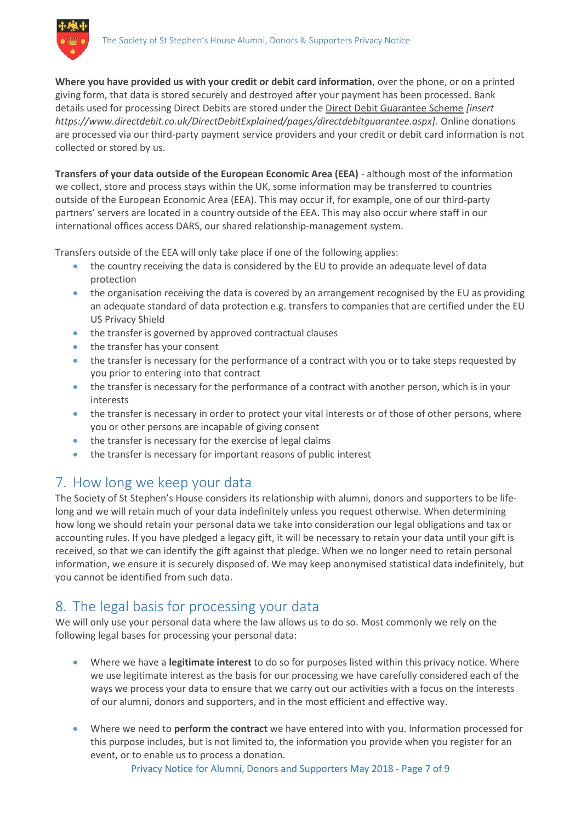

**Where you have provided us with your credit or debit card information**, over the phone, or on a printed giving form, that data is stored securely and destroyed after your payment has been processed. Bank details used for processing Direct Debits are stored under the Direct Debit Guarantee Scheme *[insert https://www.directdebit.co.uk/DirectDebitExplained/pages/directdebitguarantee.aspx].* Online donations are processed via our third-party payment service providers and your credit or debit card information is not collected or stored by us.

**Transfers of your data outside of the European Economic Area (EEA)** - although most of the information we collect, store and process stays within the UK, some information may be transferred to countries outside of the European Economic Area (EEA). This may occur if, for example, one of our third-party partners' servers are located in a country outside of the EEA. This may also occur where staff in our international offices access DARS, our shared relationship-management system.

Transfers outside of the EEA will only take place if one of the following applies:

- the country receiving the data is considered by the EU to provide an adequate level of data protection
- the organisation receiving the data is covered by an arrangement recognised by the EU as providing an adequate standard of data protection e.g. transfers to companies that are certified under the EU US Privacy Shield
- the transfer is governed by approved contractual clauses
- the transfer has your consent
- the transfer is necessary for the performance of a contract with you or to take steps requested by you prior to entering into that contract
- the transfer is necessary for the performance of a contract with another person, which is in your interests
- the transfer is necessary in order to protect your vital interests or of those of other persons, where you or other persons are incapable of giving consent
- the transfer is necessary for the exercise of legal claims
- the transfer is necessary for important reasons of public interest

## 7. How long we keep your data

The Society of St Stephen's House considers its relationship with alumni, donors and supporters to be lifelong and we will retain much of your data indefinitely unless you request otherwise. When determining how long we should retain your personal data we take into consideration our legal obligations and tax or accounting rules. If you have pledged a legacy gift, it will be necessary to retain your data until your gift is received, so that we can identify the gift against that pledge. When we no longer need to retain personal information, we ensure it is securely disposed of. We may keep anonymised statistical data indefinitely, but you cannot be identified from such data.

# 8. The legal basis for processing your data

We will only use your personal data where the law allows us to do so. Most commonly we rely on the following legal bases for processing your personal data:

- Where we have a **legitimate interest** to do so for purposes listed within this privacy notice. Where we use legitimate interest as the basis for our processing we have carefully considered each of the ways we process your data to ensure that we carry out our activities with a focus on the interests of our alumni, donors and supporters, and in the most efficient and effective way.
- Where we need to **perform the contract** we have entered into with you. Information processed for this purpose includes, but is not limited to, the information you provide when you register for an event, or to enable us to process a donation.

Privacy Notice for Alumni, Donors and Supporters May 2018 - Page 7 of 9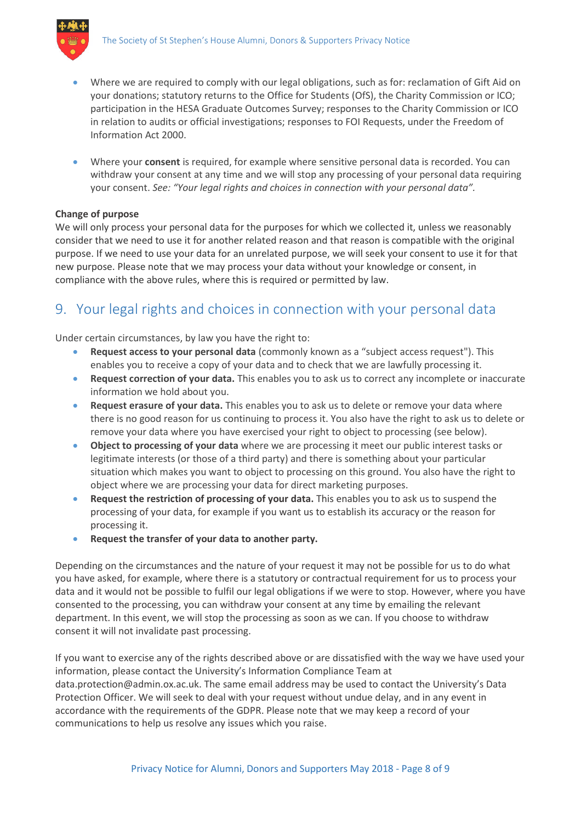

- Where we are required to comply with our legal obligations, such as for: reclamation of Gift Aid on your donations; statutory returns to the Office for Students (OfS), the Charity Commission or ICO; participation in the HESA Graduate Outcomes Survey; responses to the Charity Commission or ICO in relation to audits or official investigations; responses to FOI Requests, under the Freedom of Information Act 2000.
- Where your **consent** is required, for example where sensitive personal data is recorded. You can withdraw your consent at any time and we will stop any processing of your personal data requiring your consent. *See: "Your legal rights and choices in connection with your personal data".*

#### **Change of purpose**

We will only process your personal data for the purposes for which we collected it, unless we reasonably consider that we need to use it for another related reason and that reason is compatible with the original purpose. If we need to use your data for an unrelated purpose, we will seek your consent to use it for that new purpose. Please note that we may process your data without your knowledge or consent, in compliance with the above rules, where this is required or permitted by law.

# 9. Your legal rights and choices in connection with your personal data

Under certain circumstances, by law you have the right to:

- **Request access to your personal data** (commonly known as a "subject access request"). This enables you to receive a copy of your data and to check that we are lawfully processing it.
- **Request correction of your data.** This enables you to ask us to correct any incomplete or inaccurate information we hold about you.
- **Request erasure of your data.** This enables you to ask us to delete or remove your data where there is no good reason for us continuing to process it. You also have the right to ask us to delete or remove your data where you have exercised your right to object to processing (see below).
- **Object to processing of your data** where we are processing it meet our public interest tasks or legitimate interests (or those of a third party) and there is something about your particular situation which makes you want to object to processing on this ground. You also have the right to object where we are processing your data for direct marketing purposes.
- **Request the restriction of processing of your data.** This enables you to ask us to suspend the processing of your data, for example if you want us to establish its accuracy or the reason for processing it.
- **•** Request the transfer of your data to another party.

Depending on the circumstances and the nature of your request it may not be possible for us to do what you have asked, for example, where there is a statutory or contractual requirement for us to process your data and it would not be possible to fulfil our legal obligations if we were to stop. However, where you have consented to the processing, you can withdraw your consent at any time by emailing the relevant department. In this event, we will stop the processing as soon as we can. If you choose to withdraw consent it will not invalidate past processing.

If you want to exercise any of the rights described above or are dissatisfied with the way we have used your information, please contact the University's Information Compliance Team at data.protection@admin.ox.ac.uk. The same email address may be used to contact the University's Data Protection Officer. We will seek to deal with your request without undue delay, and in any event in accordance with the requirements of the GDPR. Please note that we may keep a record of your communications to help us resolve any issues which you raise.